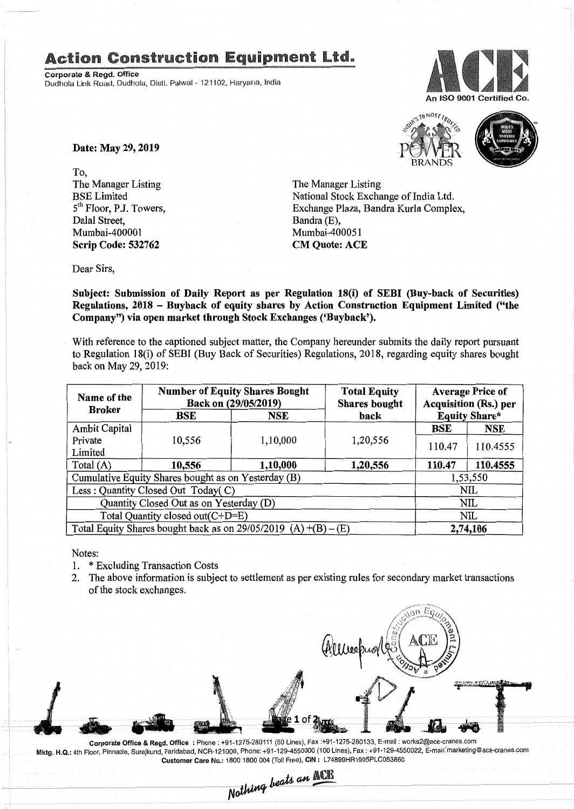## **Action Construction Equipment Ltd.**

Corporate & Regd. Office Dudhola Link Road, Dudhola, Distt. Palwal- 121102, Haryana, India



S<sub>10</sub> MOST<sub>TRUS</sub> BRANDS

Date: May 29, 2019

To, The Manager Listing BSE Limited 5<sup>th</sup> Floor, P.J. Towers, Dalal Street, Mumbai-400001 Scrip Code: 532762

The Manager Listing National Stock Exchange of India Ltd. Exchange Plaza, Bandra Kurla Complex, Bandra (E), Mumbai-400051 CM Quote: ACE

Dear Sirs,

Subject: Submission of Daily Report as per Regulation 18(i) of SEBI (Buy-back of Securities) Regulations, 2018 - Buyback of equity shares by Action Construction Equipment Limited ("the Company") via open market through Stock Exchanges ('Buyback').

With reference to the captioned subject matter, the Company hereunder submits the daily report pursuant to Regulation 18(i) of SEBI (Buy Back of Securities) Regulations, 2018, regarding equity shares bought back on May 29, 2019:

| Name of the<br><b>Broker</b>                                      | <b>Number of Equity Shares Bought</b><br>Back on (29/05/2019) |          | <b>Total Equity</b><br><b>Shares bought</b> | <b>Average Price of</b><br><b>Acquisition (Rs.) per</b> |            |  |
|-------------------------------------------------------------------|---------------------------------------------------------------|----------|---------------------------------------------|---------------------------------------------------------|------------|--|
|                                                                   | BSE                                                           | NSE      | back                                        | <b>Equity Share*</b>                                    |            |  |
| <b>Ambit Capital</b>                                              |                                                               |          |                                             | BSE                                                     | <b>NSE</b> |  |
| Private                                                           | 10,556                                                        | 1,10,000 | 1,20,556                                    | 110.47                                                  | 110.4555   |  |
| Limited                                                           |                                                               |          |                                             |                                                         |            |  |
| Total $(A)$                                                       | 10,556                                                        | 1,10,000 | 1,20,556                                    | 110.47                                                  | 110.4555   |  |
| Cumulative Equity Shares bought as on Yesterday (B)               |                                                               |          |                                             |                                                         | 1,53,550   |  |
| Less: Quantity Closed Out Today(C)                                |                                                               |          |                                             | NIL                                                     |            |  |
| Quantity Closed Out as on Yesterday (D)                           |                                                               |          |                                             | <b>NIL</b>                                              |            |  |
| Total Quantity closed out(C+D=E)                                  |                                                               |          |                                             |                                                         | NIL        |  |
| Total Equity Shares bought back as on $29/05/2019$ (A) +(B) – (E) |                                                               |          |                                             | 2,74,106                                                |            |  |

Notes:

- 1. \* Excluding Transaction Costs
- 2. The above information is subject to settlement as per existing rules for secondary market transactions of the stock exchanges.

on Eal

Corporate Office & Regd. Office: Phone: +91·1275·280111(50 Lines), Fax:+91·1275·280133, E·mail : works2@ace·cranes.com Mktg. H.Q.: 4th Floor, Pinnacle, Surajkund, Faridabad, NCR-121009, Phone: +91-129-4550000 (100 Lines), Fax: +91-129-4550022, E-mail: marketing@ace-cranes.com Customer Care No.: 1800 1800004 (TollFree), CIN: L74899HR1995PLC053860

<sup>I</sup> *\_11.* a.# l.~.~ .. *-.---.----- ..-.... ------- -----~----------------- ·-·---.jo'-.i1lf,(.it-~~* ---.!!!"'" ------·---~-------------·------·--------------r. *NOM'''''' - , .*